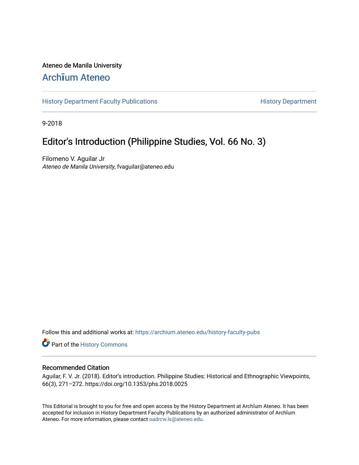### Ateneo de Manila University

## Arch**ī**[um Ateneo](https://archium.ateneo.edu/)

[History Department Faculty Publications](https://archium.ateneo.edu/history-faculty-pubs) **History Department** History Department

9-2018

## Editor's Introduction (Philippine Studies, Vol. 66 No. 3)

Filomeno V. Aguilar Jr Ateneo de Manila University, fvaguilar@ateneo.edu

Follow this and additional works at: [https://archium.ateneo.edu/history-faculty-pubs](https://archium.ateneo.edu/history-faculty-pubs?utm_source=archium.ateneo.edu%2Fhistory-faculty-pubs%2F80&utm_medium=PDF&utm_campaign=PDFCoverPages)

Part of the [History Commons](http://network.bepress.com/hgg/discipline/489?utm_source=archium.ateneo.edu%2Fhistory-faculty-pubs%2F80&utm_medium=PDF&utm_campaign=PDFCoverPages) 

#### Recommended Citation

Aguilar, F. V. Jr. (2018). Editor's introduction. Philippine Studies: Historical and Ethnographic Viewpoints, 66(3), 271–272. https://doi.org/10.1353/phs.2018.0025

This Editorial is brought to you for free and open access by the History Department at Archīum Ateneo. It has been accepted for inclusion in History Department Faculty Publications by an authorized administrator of Archīum Ateneo. For more information, please contact [oadrcw.ls@ateneo.edu.](mailto:oadrcw.ls@ateneo.edu)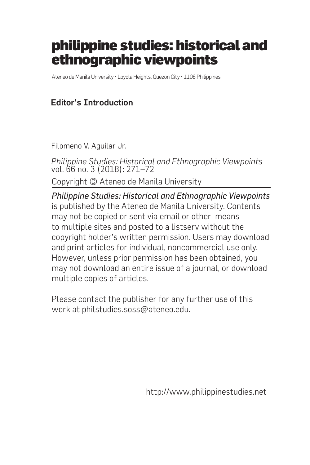# philippine studies: historical and ethnographic viewpoints

Ateneo de Manila University • Loyola Heights, Quezon City • 1108 Philippines

### Editor's Introduction

Filomeno V. Aguilar Jr.

*Philippine Studies: Historical and Ethnographic Viewpoints* vol. 66 no. 3 (2018): 271–72

Copyright © Ateneo de Manila University

*Philippine Studies: Historical and Ethnographic Viewpoints* is published by the Ateneo de Manila University. Contents may not be copied or sent via email or other means to multiple sites and posted to a listserv without the copyright holder's written permission. Users may download and print articles for individual, noncommercial use only. However, unless prior permission has been obtained, you may not download an entire issue of a journal, or download multiple copies of articles.

Please contact the publisher for any further use of this work at philstudies.soss@ateneo.edu.

http://www.philippinestudies.net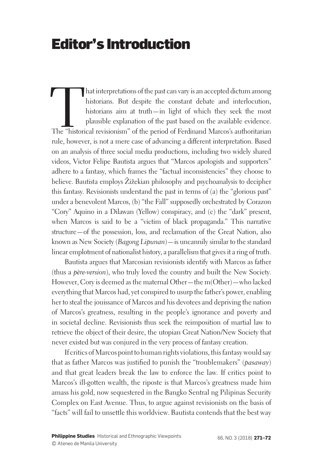# Editor's Introduction

hat interpretations of the past can vary is an accepted dictum among<br>historians. But despite the constant debate and interlocution,<br>historians aim at truth—in light of which they seek the most<br>plausible explanation of the historians. But despite the constant debate and interlocution, historians aim at truth—in light of which they seek the most plausible explanation of the past based on the available evidence. rule, however, is not a mere case of advancing a different interpretation. Based on an analysis of three social media productions, including two widely shared videos, Victor Felipe Bautista argues that "Marcos apologists and supporters" adhere to a fantasy, which frames the "factual inconsistencies" they choose to believe. Bautista employs Žižekian philosophy and psychoanalysis to decipher this fantasy. Revisionists understand the past in terms of (a) the "glorious past" under a benevolent Marcos, (b) "the Fall" supposedly orchestrated by Corazon "Cory" Aquino in a Dilawan (Yellow) conspiracy, and (c) the "dark" present, when Marcos is said to be a "victim of black propaganda." This narrative structure—of the possession, loss, and reclamation of the Great Nation, also known as New Society (*Bagong Lipunan*)—is uncannily similar to the standard linear emplotment of nationalist history, a parallelism that gives it a ring of truth.

Bautista argues that Marcosian revisionists identify with Marcos as father (thus a *père-version*), who truly loved the country and built the New Society. However, Cory is deemed as the maternal Other—the m(Other)—who lacked everything that Marcos had, yet conspired to usurp the father's power, enabling her to steal the jouissance of Marcos and his devotees and depriving the nation of Marcos's greatness, resulting in the people's ignorance and poverty and in societal decline. Revisionists thus seek the reimposition of martial law to retrieve the object of their desire, the utopian Great Nation/New Society that never existed but was conjured in the very process of fantasy creation.

If critics of Marcos point to human rights violations, this fantasy would say that as father Marcos was justified to punish the "troublemakers" (*pasaway*) and that great leaders break the law to enforce the law. If critics point to Marcos's ill-gotten wealth, the riposte is that Marcos's greatness made him amass his gold, now sequestered in the Bangko Sentral ng Pilipinas Security Complex on East Avenue. Thus, to argue against revisionists on the basis of "facts" will fail to unsettle this worldview. Bautista contends that the best way